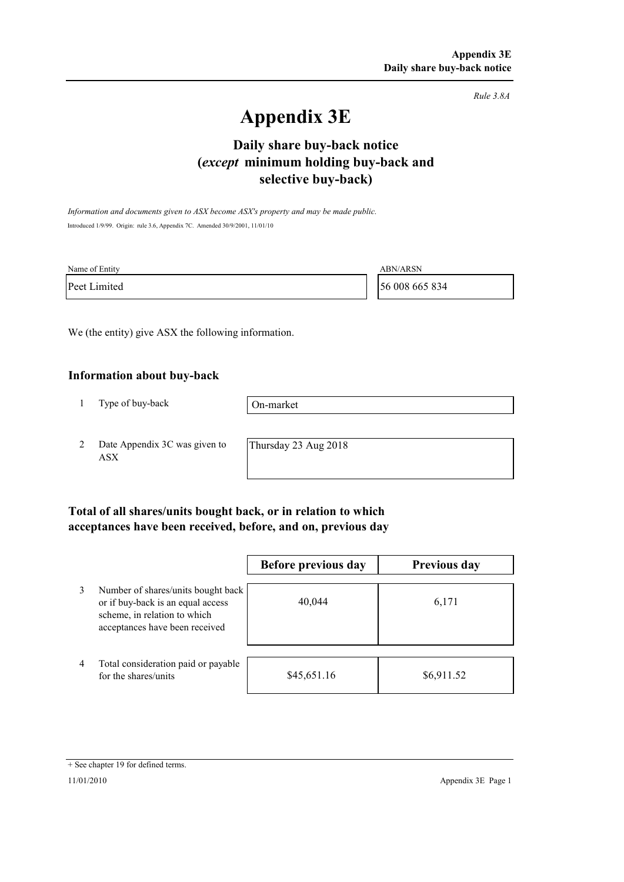*Rule 3.8A*

# **Appendix 3E**

## **selective buy-back) Daily share buy-back notice (***except* **minimum holding buy-back and**

*Information and documents given to ASX become ASX's property and may be made public.* Introduced 1/9/99. Origin: rule 3.6, Appendix 7C. Amended 30/9/2001, 11/01/10

| Name of Entity | <b>ABN/ARSN</b> |
|----------------|-----------------|
| Peet Limited   | 56 008 665 834  |

We (the entity) give ASX the following information.

#### **Information about buy-back**

1 Type of buy-back

On-market

2 Date Appendix 3C was given to ASX

Thursday 23 Aug 2018

### **Total of all shares/units bought back, or in relation to which acceptances have been received, before, and on, previous day**

|                |                                                                                                                                           | Before previous day | <b>Previous day</b> |
|----------------|-------------------------------------------------------------------------------------------------------------------------------------------|---------------------|---------------------|
| 3              | Number of shares/units bought back<br>or if buy-back is an equal access<br>scheme, in relation to which<br>acceptances have been received | 40,044              | 6,171               |
| $\overline{4}$ | Total consideration paid or payable<br>for the shares/units                                                                               | \$45,651.16         | \$6,911.52          |

<sup>+</sup> See chapter 19 for defined terms.